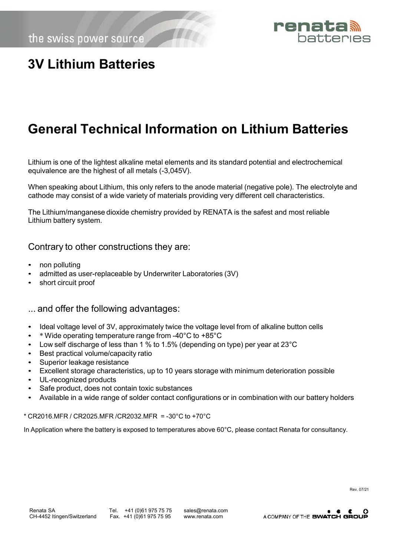

## **3V Lithium Batteries**

## **General Technical Information on Lithium Batteries**

Lithium is one of the lightest alkaline metal elements and its standard potential and electrochemical equivalence are the highest of all metals (-3,045V).

When speaking about Lithium, this only refers to the anode material (negative pole). The electrolyte and cathode may consist of a wide variety of materials providing very different cell characteristics.

The Lithium/manganese dioxide chemistry provided by RENATA is the safest and most reliable Lithium battery system.

#### Contrary to other constructions they are:

- non polluting
- admitted as user-replaceable by Underwriter Laboratories (3V)
- short circuit proof

#### ... and offer the following advantages:

- Ideal voltage level of 3V, approximately twice the voltage level from of alkaline button cells
- \* Wide operating temperature range from -40°C to +85°C
- Low self discharge of less than 1 % to 1.5% (depending on type) per year at 23°C
- Best practical volume/capacity ratio
- Superior leakage resistance
- Excellent storage characteristics, up to 10 years storage with minimum deterioration possible
- UL-recognized products
- Safe product, does not contain toxic substances
- Available in a wide range of solder contact configurations or in combination with our battery holders

\* CR2016.MFR / CR2025.MFR /CR2032.MFR = -30°C to +70°C

In Application where the battery is exposed to temperatures above 60°C, please contact Renata for consultancy.

Rev. 07/21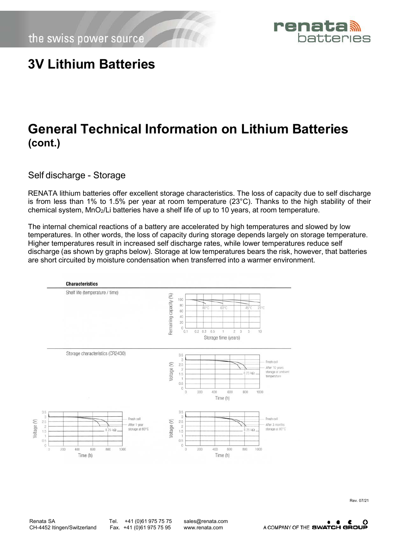the swiss power source



#### **3V Lithium Batteries**

## **General Technical Information on Lithium Batteries (cont.)**

Self discharge - Storage

RENATA lithium batteries offer excellent storage characteristics. The loss of capacity due to self discharge is from less than 1% to 1.5% per year at room temperature (23°C). Thanks to the high stability of their chemical system, MnO2/Li batteries have a shelf life of up to 10 years, at room temperature.

The internal chemical reactions of a battery are accelerated by high temperatures and slowed by low temperatures. In other words, the loss of capacity during storage depends largely on storage temperature. Higher temperatures result in increased self discharge rates, while lower temperatures reduce self discharge (as shown by graphs below). Storage at low temperatures bears the risk, however, that batteries are short circuited by moisture condensation when transferred into a warmer environment.



Renata SA Tel. +41 (0)61 975 75 [sales@renata.com](mailto:sales@renata.com)<br>CH-4452 Itingen/Switzerland Fax. +41 (0)61 975 75 95 www.renata.com CH-4452 Itingen/Switzerland Fax. +41 (0)61 975 75 95 [www.renata.com](http://www.renata.com/)

A COMPANY OF THE SWATCH GROUP

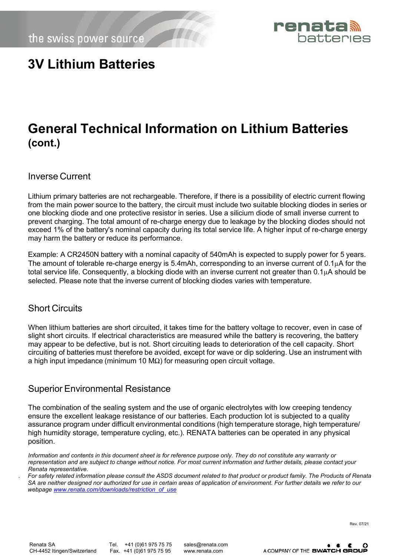the swiss power source



#### **3V Lithium Batteries**

## **General Technical Information on Lithium Batteries (cont.)**

Inverse Current

Lithium primary batteries are not rechargeable. Therefore, if there is a possibility of electric current flowing from the main power source to the battery, the circuit must include two suitable blocking diodes in series or one blocking diode and one protective resistor in series. Use a silicium diode of small inverse current to prevent charging. The total amount of re-charge energy due to leakage by the blocking diodes should not exceed 1% of the battery's nominal capacity during its total service life. A higher input of re-charge energy may harm the battery or reduce its performance.

Example: A CR2450N battery with a nominal capacity of 540mAh is expected to supply power for 5 years. The amount of tolerable re-charge energy is 5.4mAh, corresponding to an inverse current of  $0.1\mu$ A for the total service life. Consequently, a blocking diode with an inverse current not greater than 0.1µA should be selected. Please note that the inverse current of blocking diodes varies with temperature.

#### Short Circuits

When lithium batteries are short circuited, it takes time for the battery voltage to recover, even in case of slight short circuits. If electrical characteristics are measured while the battery is recovering, the battery may appear to be defective, but is not. Short circuiting leads to deterioration of the cell capacity. Short circuiting of batteries must therefore be avoided, except for wave or dip soldering. Use an instrument with a high input impedance (minimum 10 MΩ) for measuring open circuit voltage.

#### Superior Environmental Resistance

The combination of the sealing system and the use of organic electrolytes with low creeping tendency ensure the excellent leakage resistance of our batteries. Each production lot is subjected to a quality assurance program under difficult environmental conditions (high temperature storage, high temperature/ high humidity storage, temperature cycling, etc.). RENATA batteries can be operated in any physical position.

*. For safety related information please consult the ASDS document related to that product or product family. The Products of Renata SA are neither designed nor authorized for use in certain areas of application of environment. For further details we refer to our webpage [www.renata.com/downloads/restriction\\_of\\_use](http://www.renata.com/downloads/restriction_of_use)*

Rev. 07/21

Renata SA Tel. +41 (0)61 975 75 [sales@renata.com](mailto:sales@renata.com)<br>CH-4452 Itingen/Switzerland Fax. +41 (0)61 975 75 95 www.renata.com

Fax. +41 (0)61 975 75 95 [www.renata.com](http://www.renata.com/)



*Information and contents in this document sheet is for reference purpose only. They do not constitute any warranty or representation and are subject to change without notice. For most current information and further details, please contact your Renata representative.*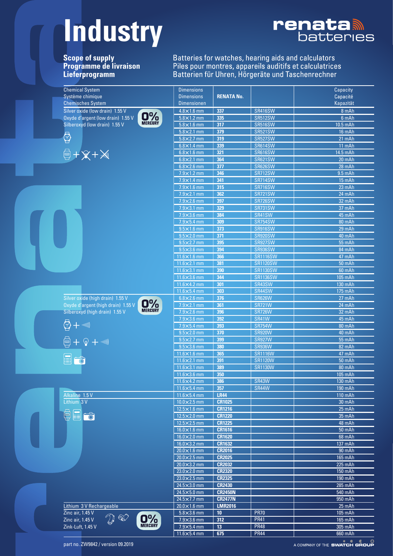## **Industry**



Scope of supply<br>Programme de livraison<br>Lieferprogramm

Batteries for watches, hearing aids and calculators<br>Piles pour montres, appareils auditifs et calculatrices<br>Batterien für Uhren, Hörgeräte und Taschenrechner

|  | <b>Chemical System</b>                                                      | <b>Dimensions</b>                          |                   |                                  | Capacity                      |
|--|-----------------------------------------------------------------------------|--------------------------------------------|-------------------|----------------------------------|-------------------------------|
|  | Système chimique                                                            | <b>Dimensions</b>                          | <b>RENATA No.</b> |                                  | Capacité                      |
|  | <b>Chemisches System</b>                                                    | <b>Dimensionen</b>                         |                   |                                  | Kapazität                     |
|  | Silver oxide (low drain) 1.55 V                                             | $4.8 \times 1.6$ mm                        | 337               | <b>SR416SW</b>                   | 8 mAh                         |
|  | O%<br>Oxyde d'argent (low drain) 1.55 V                                     | $5.8 \times 1.2$ mm<br>$5.8 \times 1.6$ mm | 335               | <b>SR512SW</b>                   | 6 mAh                         |
|  | Silberoxyd (low drain) 1.55 V                                               |                                            | 317               | <b>SR516SW</b>                   | 10.5 mAh                      |
|  | $\bigcirc$                                                                  | $5.8 \times 2.1$ mm                        | 379               | <b>SR521SW</b>                   | 16 mAh                        |
|  |                                                                             | $5.8 \times 2.7$ mm                        | 319               | <b>SR527SW</b>                   | 21 mAh                        |
|  |                                                                             | $6.8 \times 1.4$ mm                        | 339               | <b>SR614SW</b>                   | 11 mAh                        |
|  | $\begin{array}{c} \n\bigoplus + \mathbb{X} + \mathbb{X} \n\end{array}$      | $6.8 \times 1.6$ mm                        | 321               | <b>SR616SW</b>                   | 14.5 mAh                      |
|  |                                                                             | $6.8 \times 2.1$ mm<br>$6.8 \times 2.6$ mm | 364               | <b>SR621SW</b>                   | 20 mAh                        |
|  |                                                                             | $7.9 \times 1.2$ mm                        | 377               | <b>SR626SW</b><br><b>SR712SW</b> | 28 mAh                        |
|  |                                                                             |                                            | 346               |                                  | $9.5$ mAh                     |
|  |                                                                             | $7.9 \times 1.4$ mm                        | 341               | <b>SR714SW</b>                   | 15 mAh                        |
|  |                                                                             | $7.9 \times 1.6$ mm                        | 315               | <b>SR716SW</b>                   | 23 mAh                        |
|  |                                                                             | $7.9 \times 2.1$ mm                        | 362               | <b>SR721SW</b>                   | 24 mAh                        |
|  |                                                                             | $7.9\times2.6$ mm                          | 397               | <b>SR726SW</b>                   | 32 mAh                        |
|  |                                                                             | $7.9 \times 3.1$ mm                        | 329               | <b>SR731SW</b>                   | 37 mAh                        |
|  |                                                                             | $7.9 \times 3.6$ mm                        | 384               | <b>SR41SW</b>                    | 45 mAh                        |
|  |                                                                             | $7.9 \times 5.4$ mm                        | 309               | <b>SR754SW</b>                   | 80 mAh                        |
|  |                                                                             | $9.5 \times 1.6$ mm                        | 373               | <b>SR916SW</b>                   | 29 mAh                        |
|  |                                                                             | $9.5 \times 2.0$ mm                        | 371               | <b>SR920SW</b>                   | 40 mAh                        |
|  |                                                                             | $9.5 \times 2.7$ mm                        | 395               | <b>SR927SW</b>                   | 55 mAh                        |
|  |                                                                             | $9.5 \times 3.6$ mm                        | 394               | <b>SR936SW</b>                   | 84 mAh                        |
|  |                                                                             | $11.6\times1.6$ mm                         | 366               | <b>SR1116SW</b>                  | 47 mAh                        |
|  |                                                                             | $11.6\times2.1$ mm                         | 381               | <b>SR1120SW</b>                  | <b>50 mAh</b>                 |
|  |                                                                             | $11.6 \times 3.1$ mm                       | 390               | <b>SR1130SW</b>                  | 60 mAh                        |
|  |                                                                             | $11.6\times3.6$ mm                         | 344               | <b>SR1136SW</b>                  | 105 mAh                       |
|  |                                                                             | $11.6\times4.2$ mm<br>$11.6\times5.4$ mm   | 301<br>303        | SR43SW<br>SR44SW                 | 130 mAh                       |
|  | Silver oxide (high drain) 1.55 V                                            |                                            | 376               | <b>SR626W</b>                    | 175 mAh                       |
|  | Oxyde d'argent (high drain) 1.55 V                                          | $6.8\times2.6$ mm<br>$7.9 \times 2.1$ mm   | 361               | <b>SR721W</b>                    | 27 mAh<br>24 mAh              |
|  | O%<br>Silberoxyd (high drain) 1.55 V                                        | $7.9 \times 2.6$ mm                        | 396               | <b>SR726W</b>                    | 32 mAh                        |
|  |                                                                             | $7.9 \times 3.6$ mm                        | 392               | <b>SR41W</b>                     | 45 mAh                        |
|  | $\bigotimes + \text{null}$                                                  | $7.9 \times 5.4$ mm                        | 393               | <b>SR754W</b>                    | 80 mAh                        |
|  |                                                                             | $9.5 \times 2.0$ mm                        | 370               | <b>SR920W</b>                    | 40 mAh                        |
|  |                                                                             | $9.5 \times 2.7$ mm                        | 399               | <b>SR927W</b>                    | 55 mAh                        |
|  | $\textcircled{\tiny{}}$ + $\textcircled{\tiny{}}$ + $\textcircled{\tiny{}}$ | $9.5 \times 3.6$ mm                        | 380               | <b>SR936W</b>                    | 82 mAh                        |
|  |                                                                             | $11.6 \times 1.6$ mm                       | 365               | <b>SR1116W</b>                   | 47 mAh                        |
|  | $\textcolor{red}{\boxdot}$                                                  | $11.6 \times 2.1$ mm                       | 391               | <b>SR1120W</b>                   | 50 mAh                        |
|  |                                                                             | $11.6 \times 3.1$ mm                       | 389               | <b>SR1130W</b>                   | 80 mAh                        |
|  |                                                                             | $11.6\times3.6$ mm                         | 350               |                                  | 105 mAh                       |
|  |                                                                             | $11.6\times4.2$ mm                         | <b>380</b>        | <b>SR43W</b>                     | 130 mAh                       |
|  |                                                                             | $11.6\times5.4$ mm                         | 357               | SR44W                            | 190 mAh                       |
|  | Alkaline 1.5 V                                                              | $11.6 \times 5.4$ mm                       | <b>LR44</b>       |                                  | 110 mAh                       |
|  | Lithium 3 V                                                                 | $10.0 \times 2.5$ mm                       | <b>CR1025</b>     |                                  | 30 mAh                        |
|  |                                                                             | $12.5 \times 1.6$ mm                       | <b>CR1216</b>     |                                  | 25 mAh                        |
|  | E<br>(a<br>$\overline{\hat{\circ}}$                                         | $12.5 \times 2.0$ mm                       | <b>CR1220</b>     |                                  | 35 mAh                        |
|  |                                                                             | $12.5 \times 2.5$ mm                       | <b>CR1225</b>     |                                  | 48 mAh                        |
|  |                                                                             | $16.0 \times 1.6$ mm                       | <b>CR1616</b>     |                                  | <b>50 mAh</b>                 |
|  |                                                                             | $16.0 \times 2.0$ mm                       | <b>CR1620</b>     |                                  | 68 mAh                        |
|  |                                                                             | $16.0 \times 3.2$ mm                       | <b>CR1632</b>     |                                  | 137 mAh                       |
|  |                                                                             | $20.0 \times 1.6$ mm                       | <b>CR2016</b>     |                                  | 90 mAh                        |
|  |                                                                             | $20.0 \times 2.5$ mm                       | <b>CR2025</b>     |                                  | 165 mAh                       |
|  |                                                                             | $20.0 \times 3.2$ mm                       | <b>CR2032</b>     |                                  | 225 mAh                       |
|  |                                                                             | $23.0 \times 2.0$ mm                       | <b>CR2320</b>     |                                  | 150 mAh                       |
|  |                                                                             | $23.0 \times 2.5$ mm                       | <b>CR2325</b>     |                                  | 190 mAh                       |
|  |                                                                             | $24.5 \times 3.0$ mm                       | <b>CR2430</b>     |                                  | 285 mAh                       |
|  |                                                                             | $24.5 \times 5.0$ mm                       | <b>CR2450N</b>    |                                  | 540 mAh                       |
|  |                                                                             | $24.5 \times 7.7$ mm                       | <b>CR2477N</b>    |                                  | 950 mAh                       |
|  | Lithium 3 V Rechargeable                                                    | $20.0 \times 1.6$ mm                       | <b>LMR2016</b>    |                                  | 25 mAh                        |
|  | Zinc air, 1.45 V                                                            | $5.8 \times 3.6$ mm                        | 10                | <b>PR70</b>                      | 105 mAh                       |
|  | O%<br>လံ<br>Zinc air, 1.45 V                                                | $7.9 \times 3.6$ mm                        | 312               | <b>PR41</b>                      | 165 mAh                       |
|  | Zink-Luft, 1.45 V                                                           | $7.9 \times 5.4$ mm                        | 13                | <b>PR48</b>                      | 305 mAh                       |
|  |                                                                             | $11.6 \times 5.4$ mm                       | 675               | <b>PR44</b>                      | 660 mAh                       |
|  |                                                                             |                                            |                   |                                  | A COMPANY OF THE SWATCH GROUP |
|  | part no. ZW9842 / version 09.2019                                           |                                            |                   |                                  |                               |